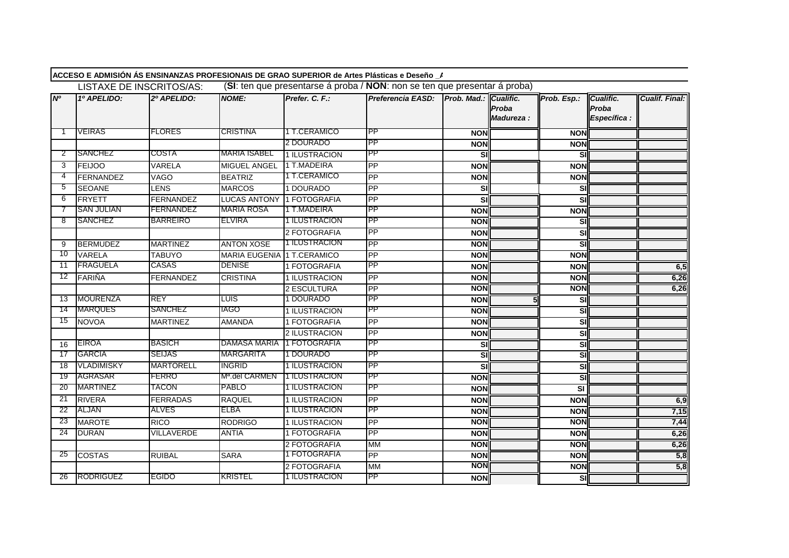|                |                   | LISTAXE DE INSCRITOS/AS: |                            |                | ACCESO E ADMISIÓN ÁS ENSINANZAS PROFESIONAIS DE GRAO SUPERIOR de Artes Plásticas e Deseño _/<br>(SI: ten que presentarse á proba / NON: non se ten que presentar á proba) |                       |                    |                         |                                    |                       |
|----------------|-------------------|--------------------------|----------------------------|----------------|---------------------------------------------------------------------------------------------------------------------------------------------------------------------------|-----------------------|--------------------|-------------------------|------------------------------------|-----------------------|
| N <sup>o</sup> | 1º APELIDO:       | 2º APELIDO:              | <b>NOME:</b>               | Prefer. C. F.: | Preferencia EASD:                                                                                                                                                         | Prob. Mad.: Cualific. | Proba<br>Madureza: | Prob. Esp.:             | Cualific.<br>Proba<br>Específica : | <b>Cualif. Final:</b> |
| -1             | <b>VEIRAS</b>     | <b>FLORES</b>            | <b>CRISTINA</b>            | 1 T.CERAMICO   | <b>IPP</b>                                                                                                                                                                | <b>NON</b>            |                    | <b>NON</b>              |                                    |                       |
|                |                   |                          |                            | 2 DOURADO      | <b>PP</b>                                                                                                                                                                 | <b>NON</b>            |                    | <b>NON</b>              |                                    |                       |
| 2              | <b>SANCHEZ</b>    | COSTA                    | <b>MARIA ISABEL</b>        | 1 ILUSTRACION  | <b>PP</b>                                                                                                                                                                 | SI                    |                    | SI                      |                                    |                       |
| 3              | <b>FEIJOO</b>     | VARELA                   | <b>MIGUEL ANGEL</b>        | 1 T.MADEIRA    | <b>PP</b>                                                                                                                                                                 | <b>NON</b>            |                    | <b>NON</b>              |                                    |                       |
| 4              | <b>FERNANDEZ</b>  | <b>VAGO</b>              | <b>BEATRIZ</b>             | 1 T.CERAMICO   | PP                                                                                                                                                                        | <b>NON</b>            |                    | <b>NON</b>              |                                    |                       |
| 5              | <b>SEOANE</b>     | <b>LENS</b>              | <b>MARCOS</b>              | 1 DOURADO      | <b>PP</b>                                                                                                                                                                 | SI                    |                    | SI                      |                                    |                       |
| 6              | <b>FRYETT</b>     | <b>FERNANDEZ</b>         | <b>LUCAS ANTONY</b>        | 1 FOTOGRAFIA   | PP                                                                                                                                                                        | SI                    |                    | <b>SI</b>               |                                    |                       |
|                | <b>SAN JULIAN</b> | FERNANDEZ                | <b>MARIA ROSA</b>          | 1 T.MADEIRA    | <b>PP</b>                                                                                                                                                                 | <b>NON</b>            |                    | <b>NON</b>              |                                    |                       |
| 8              | <b>SANCHEZ</b>    | <b>BARREIRO</b>          | <b>ELVIRA</b>              | 1 ILUSTRACION  | PP                                                                                                                                                                        | <b>NON</b>            |                    | <b>SI</b>               |                                    |                       |
|                |                   |                          |                            | 2 FOTOGRAFIA   | <b>PP</b>                                                                                                                                                                 | <b>NON</b>            |                    | SI                      |                                    |                       |
| -9             | <b>BERMUDEZ</b>   | <b>MARTINEZ</b>          | <b>ANTON XOSE</b>          | 1 ILUSTRACION  | <b>PP</b>                                                                                                                                                                 | <b>NON</b>            |                    | <u>s</u>                |                                    |                       |
| 10             | <b>VARELA</b>     | <b>TABUYO</b>            | MARIA EUGENIA 1 T.CERAMICO |                | PP                                                                                                                                                                        | <b>NON</b>            |                    | <b>NON</b>              |                                    |                       |
| 11             | <b>FRAGUELA</b>   | <b>CASAS</b>             | <b>DENISE</b>              | 1 FOTOGRAFIA   | <b>PP</b>                                                                                                                                                                 | <b>NON</b>            |                    | <b>NON</b>              |                                    | 6,5                   |
| 12             | FARIÑA            | <b>FERNANDEZ</b>         | <b>CRISTINA</b>            | 1 ILUSTRACION  | PP                                                                                                                                                                        | <b>NON</b>            |                    | <b>NON</b>              |                                    | 6,26                  |
|                |                   |                          |                            | 2 ESCULTURA    | PP                                                                                                                                                                        | <b>NON</b>            |                    | <b>NON</b>              |                                    | 6,26                  |
| 13             | <b>MOURENZA</b>   | <b>REY</b>               | <b>LUIS</b>                | 1 DOURADO      | <b>PP</b>                                                                                                                                                                 | <b>NON</b>            |                    | <b>SI</b>               |                                    |                       |
| 14             | <b>MARQUES</b>    | <b>SANCHEZ</b>           | IAGO                       | 1 ILUSTRACION  | <b>IPP</b>                                                                                                                                                                | <b>NON</b>            |                    | <u>i</u>                |                                    |                       |
| 15             | <b>NOVOA</b>      | <b>MARTINEZ</b>          | <b>AMANDA</b>              | 1 FOTOGRAFIA   | PP                                                                                                                                                                        | <b>NON</b>            |                    | <u>s</u>                |                                    |                       |
|                |                   |                          |                            | 2 ILUSTRACION  | PP                                                                                                                                                                        | <b>NON</b>            |                    | SI                      |                                    |                       |
| 16             | <b>EIROA</b>      | <b>BASICH</b>            | DAMASA MARIA               | 1 FOTOGRAFIA   | PP                                                                                                                                                                        | SI                    |                    | <u>i</u>                |                                    |                       |
| -17            | GARCIA            | SEIJAS                   | <b>MARGARITA</b>           | 1 DOURADO      | <b>IPP</b>                                                                                                                                                                | SI                    |                    | <u>i</u>                |                                    |                       |
| 18             | <b>VLADIMISKY</b> | <b>MARTORELL</b>         | <b>INGRID</b>              | 1 ILUSTRACION  | <b>IPP</b>                                                                                                                                                                | SI                    |                    | <b>SI</b>               |                                    |                       |
| -19            | AGRASAR           | FERRO                    | M <sup>a</sup> .del CARMEN | 1 ILUSTRACION  | PP                                                                                                                                                                        | <b>NON</b>            |                    | <u>sı</u>               |                                    |                       |
| 20             | <b>MARTINEZ</b>   | <b>TACON</b>             | PABLO                      | 1 ILUSTRACION  | <b>IPP</b>                                                                                                                                                                | <b>NON</b>            |                    | $\overline{\mathbf{s}}$ |                                    |                       |
| 21             | <b>RIVERA</b>     | <b>FERRADAS</b>          | <b>RAQUEL</b>              | 1 ILUSTRACION  | PP                                                                                                                                                                        | <b>NON</b>            |                    | <b>NON</b>              |                                    | 6,9                   |
| 22             | ALJAN             | ALVES                    | ELBA                       | 1 ILUSTRACION  | <b>PP</b>                                                                                                                                                                 | <b>NON</b>            |                    | <b>NON</b>              |                                    | 7,15                  |
| -23            | <b>MAROTE</b>     | <b>RICO</b>              | <b>RODRIGO</b>             | 1 ILUSTRACION  | PP                                                                                                                                                                        | <b>NON</b>            |                    | <b>NON</b>              |                                    | 7,44                  |
| 24             | <b>DURAN</b>      | <b>VILLAVERDE</b>        | <b>ANTIA</b>               | 1 FOTOGRAFIA   | <b>PP</b>                                                                                                                                                                 | <b>NON</b>            |                    | <b>NON</b>              |                                    | 6,26                  |
|                |                   |                          |                            | 2 FOTOGRAFIA   | <b>MM</b>                                                                                                                                                                 | <b>NON</b>            |                    | <b>NON</b>              |                                    | 6,26                  |
| 25             | <b>COSTAS</b>     | <b>RUIBAL</b>            | <b>SARA</b>                | 1 FOTOGRAFIA   | PP                                                                                                                                                                        | <b>NON</b>            |                    | <b>NON</b>              |                                    | 5,8                   |
|                |                   |                          |                            | 2 FOTOGRAFIA   | <b>MM</b>                                                                                                                                                                 | <b>NON</b>            |                    | <b>NON</b>              |                                    | 5,8                   |
| 26             | RODRIGUEZ         | <b>EGIDO</b>             | <b>KRISTEL</b>             | 1 ILUSTRACION  | PP                                                                                                                                                                        | <b>NON</b>            |                    | <b>SI</b>               |                                    |                       |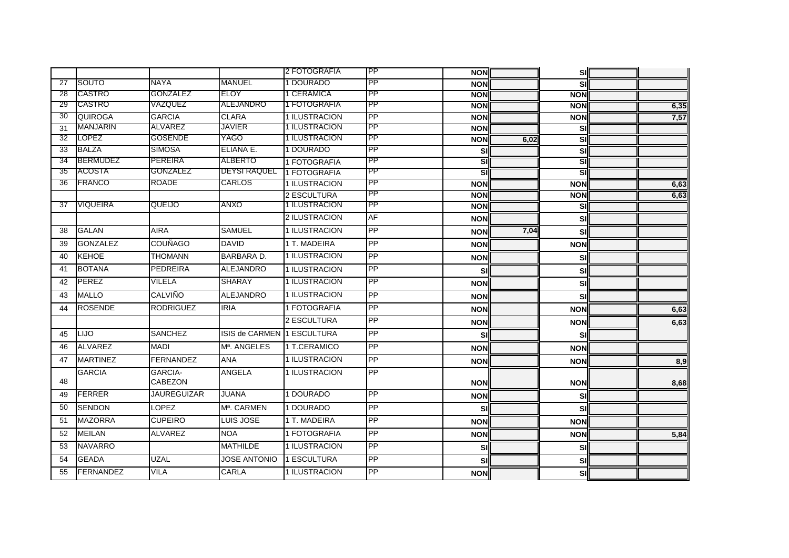|                 |                  |                           |                            | 2 FOTOGRAFIA  | IPP | <b>NON</b> |      | <b>SI</b>  |      |
|-----------------|------------------|---------------------------|----------------------------|---------------|-----|------------|------|------------|------|
| 27              | SOUTO            | <b>NAYA</b>               | <b>MANUEL</b>              | 1 DOURADO     | PP  | <b>NON</b> |      | <b>SI</b>  |      |
| 28              | CASTRO           | GONZALEZ                  | ELOY                       | 1 CERAMICA    | PP  | <b>NON</b> |      | <b>NON</b> |      |
| 29              | CASTRO           | VAZQUEZ                   | ALEJANDRO                  | 1 FOTOGRAFIA  | PP  | <b>NON</b> |      | <b>NON</b> | 6,35 |
| $\overline{30}$ | QUIROGA          | <b>GARCIA</b>             | <b>CLARA</b>               | 1 ILUSTRACION | PP  | <b>NON</b> |      | <b>NON</b> | 7,57 |
| 31              | MANJARIN         | ALVAREZ                   | <b>JAVIER</b>              | 1 ILUSTRACION | PP  | <b>NON</b> |      | SI         |      |
| 32              | <b>LOPEZ</b>     | <b>GOSENDE</b>            | YAGO                       | 1 ILUSTRACION | PP  | <b>NON</b> | 6,02 | <u>sı</u>  |      |
| 33              | <b>BALZA</b>     | <b>SIMOSA</b>             | ELIANA E.                  | 1 DOURADO     | PP  | SI         |      | SI         |      |
| 34              | <b>BERMUDEZ</b>  | PEREIRA                   | <b>ALBERTO</b>             | 1 FOTOGRAFIA  | PP  | SI         |      | SI         |      |
| 35              | ACOSTA           | GONZALEZ                  | <b>DEYSI RAQUEL</b>        | 1 FOTOGRAFIA  | PP  | SI         |      | SI         |      |
| 36              | <b>FRANCO</b>    | <b>ROADE</b>              | <b>CARLOS</b>              | 1 ILUSTRACION | PP  | <b>NON</b> |      | <b>NON</b> | 6,63 |
|                 |                  |                           |                            | 2 ESCULTURA   | PP  | <b>NON</b> |      | <b>NON</b> | 6,63 |
| 37              | <b>VIQUEIRA</b>  | QUEIJO                    | ANXO                       | 1 ILUSTRACION | PP  | <b>NON</b> |      | <b>SI</b>  |      |
|                 |                  |                           |                            | 2 ILUSTRACION | AF  | <b>NON</b> |      | SI         |      |
| 38              | <b>GALAN</b>     | <b>AIRA</b>               | <b>SAMUEL</b>              | 1 ILUSTRACION | PP  | <b>NON</b> | 7,04 | <b>SI</b>  |      |
| 39              | <b>GONZALEZ</b>  | <b>COUÑAGO</b>            | <b>DAVID</b>               | 1 T. MADEIRA  | PP  | <b>NON</b> |      | <b>NON</b> |      |
| 40              | <b>KEHOE</b>     | <b>THOMANN</b>            | <b>BARBARA D.</b>          | 1 ILUSTRACION | PP  | <b>NON</b> |      | SI         |      |
| 41              | <b>BOTANA</b>    | <b>PEDREIRA</b>           | <b>ALEJANDRO</b>           | 1 ILUSTRACION | PP  | SI         |      | <b>SI</b>  |      |
| 42              | PEREZ            | <b>VILELA</b>             | <b>SHARAY</b>              | 1 ILUSTRACION | PP  | <b>NON</b> |      | SI         |      |
| 43              | <b>MALLO</b>     | <b>CALVIÑO</b>            | <b>ALEJANDRO</b>           | 1 ILUSTRACION | PP  | <b>NON</b> |      | <b>SI</b>  |      |
| 44              | <b>ROSENDE</b>   | <b>RODRIGUEZ</b>          | <b>IRIA</b>                | 1 FOTOGRAFIA  | PP  | <b>NON</b> |      | <b>NON</b> | 6,63 |
|                 |                  |                           |                            | 2 ESCULTURA   | PP  | <b>NON</b> |      | <b>NON</b> | 6,63 |
| 45              | LIJO             | <b>SANCHEZ</b>            | ISIS de CARMEN 1 ESCULTURA |               | PP  | SI         |      | SI         |      |
| 46              | <b>ALVAREZ</b>   | <b>MADI</b>               | M <sup>a</sup> , ANGELES   | 1 T.CERAMICO  | PP  | <b>NON</b> |      | <b>NON</b> |      |
| 47              | <b>MARTINEZ</b>  | <b>FERNANDEZ</b>          | <b>ANA</b>                 | 1 ILUSTRACION | PP  | <b>NON</b> |      | <b>NON</b> | 8,9  |
| 48              | <b>GARCIA</b>    | <b>GARCIA-</b><br>CABEZON | <b>ANGELA</b>              | 1 ILUSTRACION | PP  | <b>NON</b> |      | <b>NON</b> | 8,68 |
| 49              | <b>FERRER</b>    | <b>JAUREGUIZAR</b>        | <b>JUANA</b>               | 1 DOURADO     | PP  | <b>NON</b> |      | SI         |      |
| 50              | <b>SENDON</b>    | <b>LOPEZ</b>              | M <sup>a</sup> , CARMEN    | 1 DOURADO     | PP  | SI         |      | <b>SI</b>  |      |
| 51              | <b>MAZORRA</b>   | <b>CUPEIRO</b>            | LUIS JOSE                  | 1 T. MADEIRA  | PP  | <b>NON</b> |      | <b>NON</b> |      |
| 52              | <b>MEILAN</b>    | <b>ALVAREZ</b>            | <b>NOA</b>                 | 1 FOTOGRAFIA  | PP  | <b>NON</b> |      | <b>NON</b> | 5,84 |
| 53              | <b>NAVARRO</b>   |                           | <b>MATHILDE</b>            | 1 ILUSTRACION | PP  | SI         |      | SI         |      |
| 54              | <b>GEADA</b>     | <b>UZAL</b>               | <b>JOSE ANTONIO</b>        | 1 ESCULTURA   | PP  | SI         |      | SI         |      |
| 55              | <b>FERNANDEZ</b> | <b>VILA</b>               | CARLA                      | 1 ILUSTRACION | PP  | <b>NON</b> |      | SI         |      |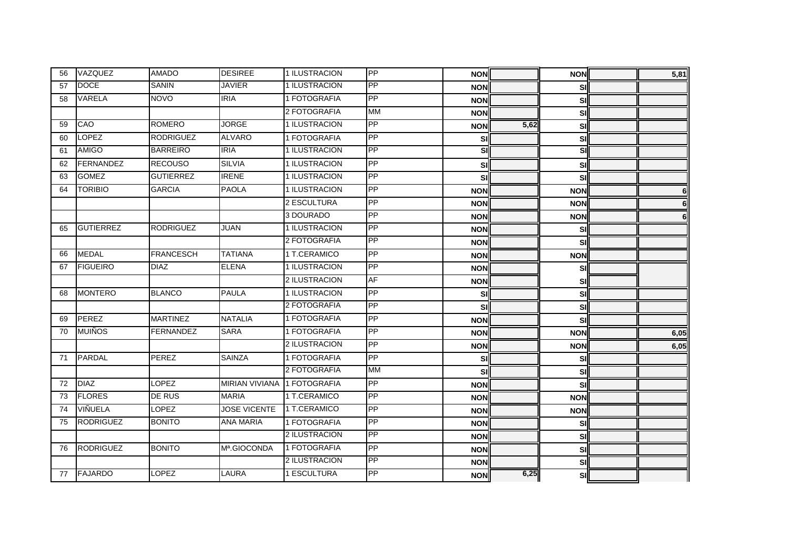| 56 | VAZQUEZ          | <b>AMADO</b>     | <b>DESIREE</b>              | 1 ILUSTRACION | PP        | <b>NON</b> |      | <b>NON</b>               | 5,81     |
|----|------------------|------------------|-----------------------------|---------------|-----------|------------|------|--------------------------|----------|
| 57 | <b>DOCE</b>      | <b>SANIN</b>     | <b>JAVIER</b>               | 1 ILUSTRACION | PP        | <b>NON</b> |      | <b>SI</b>                |          |
| 58 | <b>VARELA</b>    | <b>NOVO</b>      | <b>IRIA</b>                 | 1 FOTOGRAFIA  | <b>PP</b> | <b>NON</b> |      | SI                       |          |
|    |                  |                  |                             | 2 FOTOGRAFIA  | <b>MM</b> | <b>NON</b> |      | <b>SI</b>                |          |
| 59 | CAO              | <b>ROMERO</b>    | <b>JORGE</b>                | 1 ILUSTRACION | PP        | <b>NON</b> | 5,62 | SI                       |          |
| 60 | <b>LOPEZ</b>     | <b>RODRIGUEZ</b> | <b>ALVARO</b>               | 1 FOTOGRAFIA  | PP        | SI         |      | SI                       |          |
| 61 | <b>AMIGO</b>     | <b>BARREIRO</b>  | <b>IRIA</b>                 | 1 ILUSTRACION | PP        | <b>SI</b>  |      | $\overline{\mathsf{si}}$ |          |
| 62 | FERNANDEZ        | <b>RECOUSO</b>   | <b>SILVIA</b>               | 1 ILUSTRACION | PP        | SI         |      | SI                       |          |
| 63 | <b>GOMEZ</b>     | <b>GUTIERREZ</b> | <b>IRENE</b>                | 1 ILUSTRACION | PP        | SI         |      | SI                       |          |
| 64 | <b>TORIBIO</b>   | <b>GARCIA</b>    | <b>PAOLA</b>                | 1 ILUSTRACION | PP        | <b>NON</b> |      | <b>NON</b>               | 6        |
|    |                  |                  |                             | 2 ESCULTURA   | PP        | <b>NON</b> |      | <b>NON</b>               | $6 \mid$ |
|    |                  |                  |                             | 3 DOURADO     | <b>PP</b> | <b>NON</b> |      | <b>NON</b>               | 6        |
| 65 | <b>GUTIERREZ</b> | <b>RODRIGUEZ</b> | <b>JUAN</b>                 | 1 ILUSTRACION | PP        | <b>NON</b> |      | SI                       |          |
|    |                  |                  |                             | 2 FOTOGRAFIA  | PP        | <b>NON</b> |      | SI                       |          |
| 66 | <b>MEDAL</b>     | <b>FRANCESCH</b> | <b>TATIANA</b>              | 1 T.CERAMICO  | PP        | <b>NON</b> |      | <b>NON</b>               |          |
| 67 | <b>FIGUEIRO</b>  | <b>DIAZ</b>      | <b>ELENA</b>                | 1 ILUSTRACION | PP        | <b>NON</b> |      | SI                       |          |
|    |                  |                  |                             | 2 ILUSTRACION | <b>AF</b> | <b>NON</b> |      | <b>SI</b>                |          |
| 68 | <b>MONTERO</b>   | <b>BLANCO</b>    | <b>PAULA</b>                | 1 ILUSTRACION | PP        | SI         |      | SI                       |          |
|    |                  |                  |                             | 2 FOTOGRAFIA  | PP        | SI         |      | <b>SI</b>                |          |
| 69 | <b>PEREZ</b>     | <b>MARTINEZ</b>  | <b>NATALIA</b>              | 1 FOTOGRAFIA  | PP        | <b>NON</b> |      | <b>SI</b>                |          |
| 70 | <b>MUIÑOS</b>    | <b>FERNANDEZ</b> | <b>SARA</b>                 | 1 FOTOGRAFIA  | PP        | <b>NON</b> |      | <b>NON</b>               | 6,05     |
|    |                  |                  |                             | 2 ILUSTRACION | PP        | <b>NON</b> |      | <b>NON</b>               | 6,05     |
| 71 | <b>PARDAL</b>    | PEREZ            | <b>SAINZA</b>               | 1 FOTOGRAFIA  | PP        | SI         |      | <b>SI</b>                |          |
|    |                  |                  |                             | 2 FOTOGRAFIA  | <b>MM</b> | SI         |      | SI                       |          |
| 72 | <b>DIAZ</b>      | LOPEZ            | MIRIAN VIVIANA 1 FOTOGRAFIA |               | PP        | <b>NON</b> |      | <b>SI</b>                |          |
| 73 | <b>FLORES</b>    | <b>DE RUS</b>    | <b>MARIA</b>                | 1 T.CERAMICO  | PP        | <b>NON</b> |      | <b>NON</b>               |          |
| 74 | VIÑUELA          | LOPEZ            | <b>JOSE VICENTE</b>         | 1 T.CERAMICO  | PP        | <b>NON</b> |      | <b>NON</b>               |          |
| 75 | <b>RODRIGUEZ</b> | <b>BONITO</b>    | <b>ANA MARIA</b>            | 1 FOTOGRAFIA  | PP        | <b>NON</b> |      | <b>SI</b>                |          |
|    |                  |                  |                             | 2 ILUSTRACION | PP        | <b>NON</b> |      | <b>SI</b>                |          |
| 76 | <b>RODRIGUEZ</b> | <b>BONITO</b>    | Mª.GIOCONDA                 | 1 FOTOGRAFIA  | PP        | <b>NON</b> |      | SI                       |          |
|    |                  |                  |                             | 2 ILUSTRACION | PP        | <b>NON</b> |      | <b>SI</b>                |          |
| 77 | <b>FAJARDO</b>   | <b>LOPEZ</b>     | <b>LAURA</b>                | 1 ESCULTURA   | PP        | <b>NON</b> | 6,25 | <b>SI</b>                |          |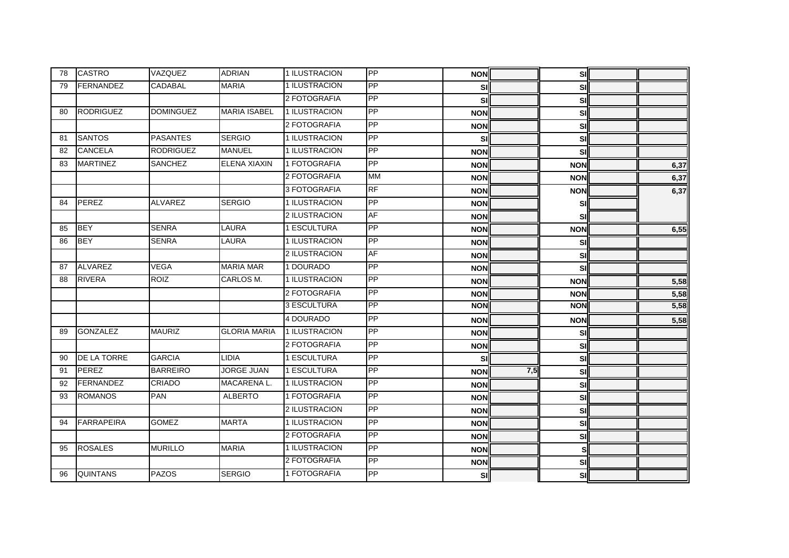| 78 | <b>CASTRO</b>      | VAZQUEZ          | <b>ADRIAN</b>       | 1 ILUSTRACION | PP        | <b>NON</b> |     | sıl        |      |
|----|--------------------|------------------|---------------------|---------------|-----------|------------|-----|------------|------|
| 79 | <b>FERNANDEZ</b>   | <b>CADABAL</b>   | <b>MARIA</b>        | 1 ILUSTRACION | PP        | SI         |     | <b>SI</b>  |      |
|    |                    |                  |                     | 2 FOTOGRAFIA  | PP        | SI         |     | <b>SI</b>  |      |
| 80 | <b>RODRIGUEZ</b>   | <b>DOMINGUEZ</b> | <b>MARIA ISABEL</b> | 1 ILUSTRACION | PP        | <b>NON</b> |     | <b>SI</b>  |      |
|    |                    |                  |                     | 2 FOTOGRAFIA  | PP        | <b>NON</b> |     | <b>SI</b>  |      |
| 81 | <b>SANTOS</b>      | <b>PASANTES</b>  | <b>SERGIO</b>       | 1 ILUSTRACION | PP        | SI         |     | <b>SI</b>  |      |
| 82 | <b>CANCELA</b>     | <b>RODRIGUEZ</b> | <b>MANUEL</b>       | 1 ILUSTRACION | PP        | <b>NON</b> |     | SI         |      |
| 83 | <b>MARTINEZ</b>    | SANCHEZ          | <b>ELENA XIAXIN</b> | 1 FOTOGRAFIA  | PP        | <b>NON</b> |     | <b>NON</b> | 6,37 |
|    |                    |                  |                     | 2 FOTOGRAFIA  | <b>MM</b> | <b>NON</b> |     | <b>NON</b> | 6,37 |
|    |                    |                  |                     | 3 FOTOGRAFIA  | <b>RF</b> | <b>NON</b> |     | <b>NON</b> | 6,37 |
| 84 | <b>PEREZ</b>       | <b>ALVAREZ</b>   | <b>SERGIO</b>       | 1 ILUSTRACION | PP        | <b>NON</b> |     | SI         |      |
|    |                    |                  |                     | 2 ILUSTRACION | <b>AF</b> | <b>NON</b> |     | <b>SI</b>  |      |
| 85 | <b>BEY</b>         | <b>SENRA</b>     | <b>LAURA</b>        | 1 ESCULTURA   | PP        | <b>NON</b> |     | <b>NON</b> | 6,55 |
| 86 | <b>BEY</b>         | <b>SENRA</b>     | LAURA               | 1 ILUSTRACION | PP        | <b>NON</b> |     | SI         |      |
|    |                    |                  |                     | 2 ILUSTRACION | <b>AF</b> | <b>NON</b> |     | <b>SI</b>  |      |
| 87 | <b>ALVAREZ</b>     | <b>VEGA</b>      | <b>MARIA MAR</b>    | 1 DOURADO     | PP        | <b>NON</b> |     | SI         |      |
| 88 | <b>RIVERA</b>      | <b>ROIZ</b>      | CARLOS M.           | 1 ILUSTRACION | PP        | <b>NON</b> |     | <b>NON</b> | 5,58 |
|    |                    |                  |                     | 2 FOTOGRAFIA  | PP        | <b>NON</b> |     | <b>NON</b> | 5,58 |
|    |                    |                  |                     | 3 ESCULTURA   | PP        | <b>NON</b> |     | <b>NON</b> | 5,58 |
|    |                    |                  |                     | 4 DOURADO     | PP        | <b>NON</b> |     | <b>NON</b> | 5,58 |
| 89 | <b>GONZALEZ</b>    | <b>MAURIZ</b>    | <b>GLORIA MARIA</b> | 1 ILUSTRACION | <b>PP</b> | <b>NON</b> |     | <b>SI</b>  |      |
|    |                    |                  |                     | 2 FOTOGRAFIA  | PP        | <b>NON</b> |     | <b>SI</b>  |      |
| 90 | <b>DE LA TORRE</b> | <b>GARCIA</b>    | <b>LIDIA</b>        | 1 ESCULTURA   | PP        | S          |     | SI         |      |
| 91 | PEREZ              | <b>BARREIRO</b>  | <b>JORGE JUAN</b>   | 1 ESCULTURA   | PP        | <b>NON</b> | 7,5 | <b>SI</b>  |      |
| 92 | <b>FERNANDEZ</b>   | <b>CRIADO</b>    | MACARENA L.         | 1 ILUSTRACION | PP        | <b>NON</b> |     | <b>SI</b>  |      |
| 93 | <b>ROMANOS</b>     | <b>PAN</b>       | <b>ALBERTO</b>      | 1 FOTOGRAFIA  | PP        | <b>NON</b> |     | <b>SI</b>  |      |
|    |                    |                  |                     | 2 ILUSTRACION | PP        | <b>NON</b> |     | <b>SI</b>  |      |
| 94 | <b>FARRAPEIRA</b>  | <b>GOMEZ</b>     | <b>MARTA</b>        | 1 ILUSTRACION | PP        | <b>NON</b> |     | <b>SI</b>  |      |
|    |                    |                  |                     | 2 FOTOGRAFIA  | PP        | <b>NON</b> |     | <b>SI</b>  |      |
| 95 | <b>ROSALES</b>     | <b>MURILLO</b>   | <b>MARIA</b>        | 1 ILUSTRACION | PP        | <b>NON</b> |     | s          |      |
|    |                    |                  |                     | 2 FOTOGRAFIA  | PP        | <b>NON</b> |     | SI         |      |
| 96 | <b>QUINTANS</b>    | <b>PAZOS</b>     | <b>SERGIO</b>       | 1 FOTOGRAFIA  | PP        | sı         |     | <b>SI</b>  |      |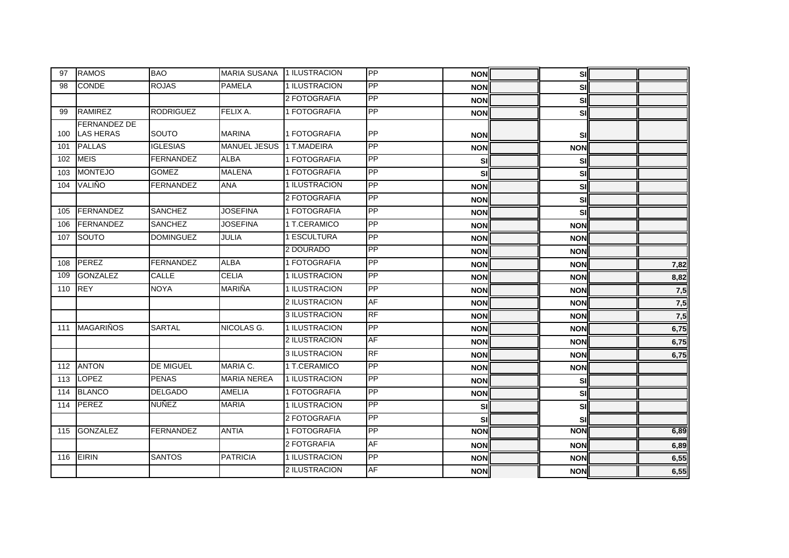| 97  | <b>RAMOS</b>                            | <b>BAO</b>       | <b>MARIA SUSANA 1 ILUSTRACION</b> |               | PP        | <b>NON</b> | sı         |      |
|-----|-----------------------------------------|------------------|-----------------------------------|---------------|-----------|------------|------------|------|
| 98  | <b>CONDE</b>                            | <b>ROJAS</b>     | <b>PAMELA</b>                     | 1 ILUSTRACION | PP        | <b>NON</b> | <b>SI</b>  |      |
|     |                                         |                  |                                   | 2 FOTOGRAFIA  | PP        | <b>NON</b> | <b>SI</b>  |      |
| 99  | <b>RAMIREZ</b>                          | <b>RODRIGUEZ</b> | FELIX A.                          | 1 FOTOGRAFIA  | PP        | <b>NON</b> | <b>SI</b>  |      |
| 100 | <b>FERNANDEZ DE</b><br><b>LAS HERAS</b> | SOUTO            | <b>MARINA</b>                     | 1 FOTOGRAFIA  | <b>PP</b> | <b>NON</b> | <b>SI</b>  |      |
| 101 | <b>PALLAS</b>                           | <b>IGLESIAS</b>  | <b>MANUEL JESUS</b>               | 1 T.MADEIRA   | PP        | <b>NON</b> | <b>NON</b> |      |
| 102 | <b>MEIS</b>                             | <b>FERNANDEZ</b> | <b>ALBA</b>                       | 1 FOTOGRAFIA  | PP        | SI         | SI         |      |
| 103 | <b>MONTEJO</b>                          | <b>GOMEZ</b>     | <b>MALENA</b>                     | 1 FOTOGRAFIA  | PP        | SI         | SI         |      |
| 104 | VALIÑO                                  | <b>FERNANDEZ</b> | <b>ANA</b>                        | 1 ILUSTRACION | PP        | <b>NON</b> | <b>SI</b>  |      |
|     |                                         |                  |                                   | 2 FOTOGRAFIA  | <b>PP</b> | <b>NON</b> | <b>SI</b>  |      |
| 105 | FERNANDEZ                               | <b>SANCHEZ</b>   | <b>JOSEFINA</b>                   | 1 FOTOGRAFIA  | PP        | <b>NON</b> | sı         |      |
| 106 | FERNANDEZ                               | <b>SANCHEZ</b>   | <b>JOSEFINA</b>                   | 1 T.CERAMICO  | PP        | <b>NON</b> | <b>NON</b> |      |
| 107 | SOUTO                                   | <b>DOMINGUEZ</b> | <b>JULIA</b>                      | 1 ESCULTURA   | PP        | <b>NON</b> | <b>NON</b> |      |
|     |                                         |                  |                                   | 2 DOURADO     | <b>PP</b> | <b>NON</b> | <b>NON</b> |      |
| 108 | PEREZ                                   | FERNANDEZ        | <b>ALBA</b>                       | 1 FOTOGRAFIA  | PP        | <b>NON</b> | <b>NON</b> | 7,82 |
| 109 | <b>GONZALEZ</b>                         | <b>CALLE</b>     | <b>CELIA</b>                      | 1 ILUSTRACION | <b>PP</b> | <b>NON</b> | <b>NON</b> | 8,82 |
| 110 | <b>REY</b>                              | <b>NOYA</b>      | <b>MARIÑA</b>                     | 1 ILUSTRACION | <b>PP</b> | <b>NON</b> | <b>NON</b> | 7,5  |
|     |                                         |                  |                                   | 2 ILUSTRACION | AF        | <b>NON</b> | <b>NON</b> | 7,5  |
|     |                                         |                  |                                   | 3 ILUSTRACION | <b>RF</b> | <b>NON</b> | <b>NON</b> | 7,5  |
| 111 | <b>MAGARIÑOS</b>                        | <b>SARTAL</b>    | NICOLAS G.                        | 1 ILUSTRACION | PP        | <b>NON</b> | <b>NON</b> | 6,75 |
|     |                                         |                  |                                   | 2 ILUSTRACION | AF        | <b>NON</b> | <b>NON</b> | 6,75 |
|     |                                         |                  |                                   | 3 ILUSTRACION | <b>RF</b> | <b>NON</b> | <b>NON</b> | 6,75 |
| 112 | <b>ANTON</b>                            | <b>DE MIGUEL</b> | MARIA C.                          | 1 T.CERAMICO  | PP        | <b>NON</b> | <b>NON</b> |      |
| 113 | <b>LOPEZ</b>                            | <b>PENAS</b>     | <b>MARIA NEREA</b>                | 1 ILUSTRACION | PP        | <b>NON</b> | SI         |      |
| 114 | <b>BLANCO</b>                           | <b>DELGADO</b>   | <b>AMELIA</b>                     | 1 FOTOGRAFIA  | <b>PP</b> | <b>NON</b> | SI         |      |
| 114 | <b>PEREZ</b>                            | <b>NUÑEZ</b>     | <b>MARIA</b>                      | 1 ILUSTRACION | PP        | SI         | SI         |      |
|     |                                         |                  |                                   | 2 FOTOGRAFIA  | PP        | SI         | SI         |      |
| 115 | <b>GONZALEZ</b>                         | <b>FERNANDEZ</b> | <b>ANTIA</b>                      | 1 FOTOGRAFIA  | PP        | <b>NON</b> | <b>NON</b> | 6,89 |
|     |                                         |                  |                                   | 2 FOTGRAFIA   | <b>AF</b> | <b>NON</b> | <b>NON</b> | 6,89 |
| 116 | <b>EIRIN</b>                            | <b>SANTOS</b>    | <b>PATRICIA</b>                   | 1 ILUSTRACION | PP        | <b>NON</b> | <b>NON</b> | 6,55 |
|     |                                         |                  |                                   | 2 ILUSTRACION | <b>AF</b> | <b>NON</b> | <b>NON</b> | 6,55 |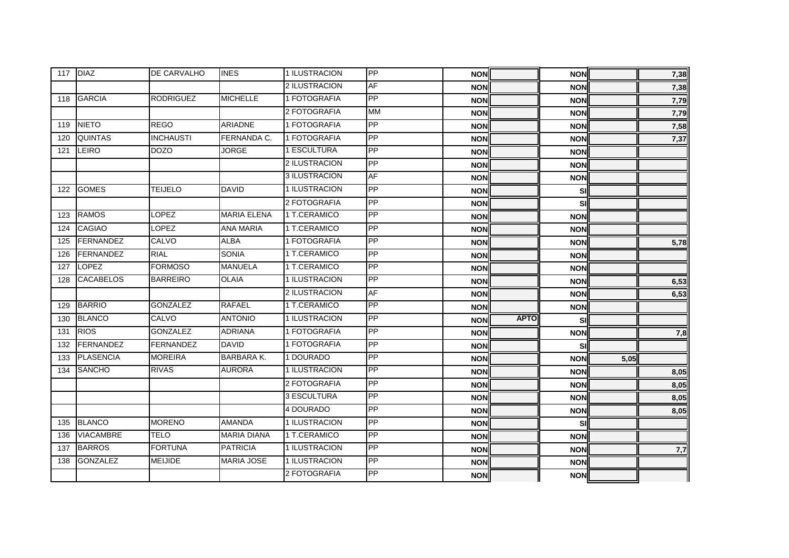|     | 117 DIAZ         | DE CARVALHO      | <b>INES</b>        | 1 ILUSTRACION | PP        | <b>NON</b> |             | <b>NON</b> |      | 7,38 |
|-----|------------------|------------------|--------------------|---------------|-----------|------------|-------------|------------|------|------|
|     |                  |                  |                    | 2 ILUSTRACION | <b>AF</b> | <b>NON</b> |             | <b>NON</b> |      | 7,38 |
| 118 | <b>GARCIA</b>    | <b>RODRIGUEZ</b> | <b>MICHELLE</b>    | 1 FOTOGRAFIA  | PP        | <b>NON</b> |             | <b>NON</b> |      | 7,79 |
|     |                  |                  |                    | 2 FOTOGRAFIA  | <b>MM</b> | <b>NON</b> |             | <b>NON</b> |      | 7,79 |
| 119 | <b>NIETO</b>     | <b>REGO</b>      | <b>ARIADNE</b>     | 1 FOTOGRAFIA  | PP        | <b>NON</b> |             | <b>NON</b> |      | 7,58 |
| 120 | QUINTAS          | <b>INCHAUSTI</b> | FERNANDA C.        | 1 FOTOGRAFIA  | PP        | <b>NON</b> |             | <b>NON</b> |      | 7,37 |
| 121 | LEIRO            | <b>DOZO</b>      | <b>JORGE</b>       | 1 ESCULTURA   | PP        | <b>NON</b> |             | <b>NON</b> |      |      |
|     |                  |                  |                    | 2 ILUSTRACION | PP        | <b>NON</b> |             | <b>NON</b> |      |      |
|     |                  |                  |                    | 3 ILUSTRACION | <b>AF</b> | <b>NON</b> |             | <b>NON</b> |      |      |
| 122 | <b>GOMES</b>     | <b>TEIJELO</b>   | <b>DAVID</b>       | 1 ILUSTRACION | PP        | <b>NON</b> |             | SI         |      |      |
|     |                  |                  |                    | 2 FOTOGRAFIA  | PP        | <b>NON</b> |             | SI         |      |      |
| 123 | <b>RAMOS</b>     | <b>LOPEZ</b>     | <b>MARIA ELENA</b> | 1 T.CERAMICO  | PP        | <b>NON</b> |             | <b>NON</b> |      |      |
| 124 | <b>CAGIAO</b>    | <b>LOPEZ</b>     | <b>ANA MARIA</b>   | 1 T.CERAMICO  | PP        | <b>NON</b> |             | <b>NON</b> |      |      |
| 125 | <b>FERNANDEZ</b> | CALVO            | <b>ALBA</b>        | 1 FOTOGRAFIA  | PP        | <b>NON</b> |             | <b>NON</b> |      | 5,78 |
| 126 | <b>FERNANDEZ</b> | <b>RIAL</b>      | <b>SONIA</b>       | 1 T.CERAMICO  | PP        | <b>NON</b> |             | <b>NON</b> |      |      |
| 127 | <b>LOPEZ</b>     | <b>FORMOSO</b>   | <b>MANUELA</b>     | 1 T.CERAMICO  | PP        | <b>NON</b> |             | <b>NON</b> |      |      |
| 128 | <b>CACABELOS</b> | <b>BARREIRO</b>  | <b>OLAIA</b>       | 1 ILUSTRACION | PP        | <b>NON</b> |             | <b>NON</b> |      | 6,53 |
|     |                  |                  |                    | 2 ILUSTRACION | <b>AF</b> | <b>NON</b> |             | <b>NON</b> |      | 6,53 |
| 129 | <b>BARRIO</b>    | <b>GONZALEZ</b>  | <b>RAFAEL</b>      | 1 T.CERAMICO  | PP        | <b>NON</b> |             | <b>NON</b> |      |      |
| 130 | <b>BLANCO</b>    | CALVO            | <b>ANTONIO</b>     | 1 ILUSTRACION | PP        | <b>NON</b> | <b>APTO</b> | SI         |      |      |
| 131 | <b>RIOS</b>      | <b>GONZALEZ</b>  | <b>ADRIANA</b>     | 1 FOTOGRAFIA  | PP        | <b>NON</b> |             | <b>NON</b> |      | 7,8  |
| 132 | FERNANDEZ        | <b>FERNANDEZ</b> | <b>DAVID</b>       | 1 FOTOGRAFIA  | PP        | <b>NON</b> |             | SI         |      |      |
| 133 | <b>PLASENCIA</b> | <b>MOREIRA</b>   | <b>BARBARA K.</b>  | 1 DOURADO     | PP        | <b>NON</b> |             | <b>NON</b> | 5,05 |      |
| 134 | <b>SANCHO</b>    | <b>RIVAS</b>     | <b>AURORA</b>      | 1 ILUSTRACION | PP        | <b>NON</b> |             | <b>NON</b> |      | 8,05 |
|     |                  |                  |                    | 2 FOTOGRAFIA  | PP        | <b>NON</b> |             | <b>NON</b> |      | 8,05 |
|     |                  |                  |                    | 3 ESCULTURA   | <b>PP</b> | <b>NON</b> |             | <b>NON</b> |      | 8,05 |
|     |                  |                  |                    | 4 DOURADO     | PP        | <b>NON</b> |             | <b>NON</b> |      | 8,05 |
| 135 | <b>BLANCO</b>    | <b>MORENO</b>    | <b>AMANDA</b>      | 1 ILUSTRACION | PP        | <b>NON</b> |             | SI         |      |      |
| 136 | <b>VIACAMBRE</b> | <b>TELO</b>      | <b>MARIA DIANA</b> | 1 T.CERAMICO  | PP        | <b>NON</b> |             | <b>NON</b> |      |      |
| 137 | <b>BARROS</b>    | <b>FORTUNA</b>   | <b>PATRICIA</b>    | 1 ILUSTRACION | PP        | <b>NON</b> |             | <b>NON</b> |      | 7,7  |
| 138 | <b>GONZALEZ</b>  | <b>MEIJIDE</b>   | <b>MARIA JOSE</b>  | 1 ILUSTRACION | PP        | <b>NON</b> |             | <b>NON</b> |      |      |
|     |                  |                  |                    | 2 FOTOGRAFIA  | PP        | <b>NON</b> |             | <b>NON</b> |      |      |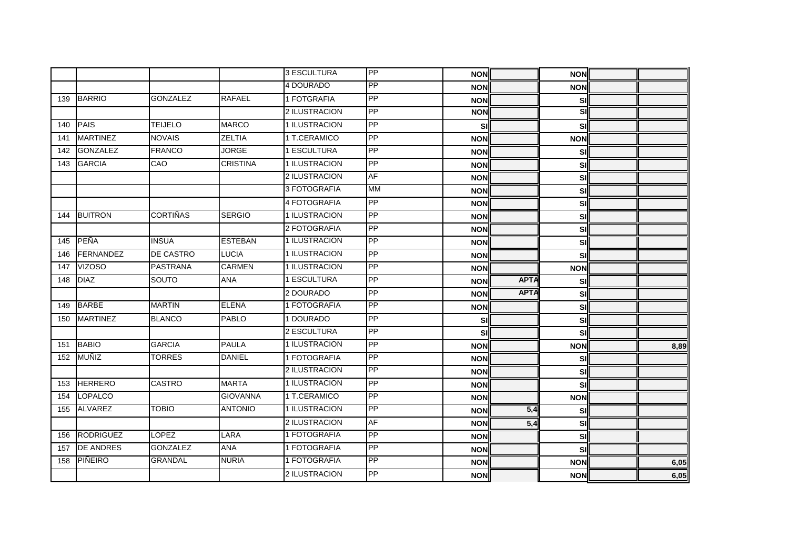|     |                  |                  |                 | 3 ESCULTURA   | PP              | <b>NON</b> |             | <b>NON</b> |      |
|-----|------------------|------------------|-----------------|---------------|-----------------|------------|-------------|------------|------|
|     |                  |                  |                 | 4 DOURADO     | PP              | <b>NON</b> |             | <b>NON</b> |      |
| 139 | <b>BARRIO</b>    | <b>GONZALEZ</b>  | <b>RAFAEL</b>   | 1 FOTGRAFIA   | PP              | <b>NON</b> |             | SI         |      |
|     |                  |                  |                 | 2 ILUSTRACION | PP              | <b>NON</b> |             | SI         |      |
| 140 | <b>PAIS</b>      | <b>TEIJELO</b>   | <b>MARCO</b>    | 1 ILUSTRACION | PP              | SI         |             | SI         |      |
| 141 | <b>MARTINEZ</b>  | <b>NOVAIS</b>    | <b>ZELTIA</b>   | 1 T.CERAMICO  | PP              | <b>NON</b> |             | <b>NON</b> |      |
| 142 | <b>GONZALEZ</b>  | <b>FRANCO</b>    | <b>JORGE</b>    | 1 ESCULTURA   | PP              | <b>NON</b> |             | SI         |      |
| 143 | <b>GARCIA</b>    | CAO              | <b>CRISTINA</b> | 1 ILUSTRACION | PP              | <b>NON</b> |             | SI         |      |
|     |                  |                  |                 | 2 ILUSTRACION | <b>AF</b>       | <b>NON</b> |             | SI         |      |
|     |                  |                  |                 | 3 FOTOGRAFIA  | <b>MM</b>       | <b>NON</b> |             | SI         |      |
|     |                  |                  |                 | 4 FOTOGRAFIA  | PP              | <b>NON</b> |             | SI         |      |
| 144 | <b>BUITRON</b>   | <b>CORTIÑAS</b>  | <b>SERGIO</b>   | 1 ILUSTRACION | PP              | <b>NON</b> |             | SI         |      |
|     |                  |                  |                 | 2 FOTOGRAFIA  | PP              | <b>NON</b> |             | SI         |      |
| 145 | PEÑA             | <b>INSUA</b>     | <b>ESTEBAN</b>  | 1 ILUSTRACION | PP              | <b>NON</b> |             | SI         |      |
| 146 | FERNANDEZ        | <b>DE CASTRO</b> | <b>LUCIA</b>    | 1 ILUSTRACION | PP              | <b>NON</b> |             | SI         |      |
| 147 | <b>VIZOSO</b>    | <b>PASTRANA</b>  | <b>CARMEN</b>   | 1 ILUSTRACION | PP              | <b>NON</b> |             | <b>NON</b> |      |
| 148 | <b>DIAZ</b>      | SOUTO            | <b>ANA</b>      | 1 ESCULTURA   | PP              | <b>NON</b> | <b>APTA</b> | SI         |      |
|     |                  |                  |                 | 2 DOURADO     | PP              | <b>NON</b> | <b>APTA</b> | SI         |      |
| 149 | <b>BARBE</b>     | <b>MARTIN</b>    | <b>ELENA</b>    | 1 FOTOGRAFIA  | PP              | <b>NON</b> |             | <b>SI</b>  |      |
| 150 | <b>MARTINEZ</b>  | <b>BLANCO</b>    | <b>PABLO</b>    | 1 DOURADO     | PP              | SI         |             | SI         |      |
|     |                  |                  |                 | 2 ESCULTURA   | PP              | SI         |             | <b>SI</b>  |      |
| 151 | <b>BABIO</b>     | <b>GARCIA</b>    | <b>PAULA</b>    | 1 ILUSTRACION | PP              | <b>NON</b> |             | <b>NON</b> | 8,89 |
| 152 | MUÑIZ            | <b>TORRES</b>    | <b>DANIEL</b>   | 1 FOTOGRAFIA  | PP              | <b>NON</b> |             | SI         |      |
|     |                  |                  |                 | 2 ILUSTRACION | PP              | <b>NON</b> |             | SI         |      |
| 153 | <b>HERRERO</b>   | <b>CASTRO</b>    | <b>MARTA</b>    | 1 ILUSTRACION | PP              | <b>NON</b> |             | SI         |      |
| 154 | <b>LOPALCO</b>   |                  | <b>GIOVANNA</b> | 1 T.CERAMICO  | $\overline{PP}$ | <b>NON</b> |             | <b>NON</b> |      |
| 155 | <b>ALVAREZ</b>   | <b>TOBIO</b>     | <b>ANTONIO</b>  | 1 ILUSTRACION | PP              | <b>NON</b> | 5,4         | SI         |      |
|     |                  |                  |                 | 2 ILUSTRACION | <b>AF</b>       | <b>NON</b> | 5,4         | <b>SI</b>  |      |
| 156 | <b>RODRIGUEZ</b> | <b>LOPEZ</b>     | <b>LARA</b>     | 1 FOTOGRAFIA  | PP              | <b>NON</b> |             | SI         |      |
| 157 | <b>DE ANDRES</b> | <b>GONZALEZ</b>  | <b>ANA</b>      | 1 FOTOGRAFIA  | PP              | <b>NON</b> |             | <b>SI</b>  |      |
| 158 | PIÑEIRO          | <b>GRANDAL</b>   | <b>NURIA</b>    | 1 FOTOGRAFIA  | PP              | <b>NON</b> |             | <b>NON</b> | 6,05 |
|     |                  |                  |                 | 2 ILUSTRACION | PP              | <b>NON</b> |             | <b>NON</b> | 6,05 |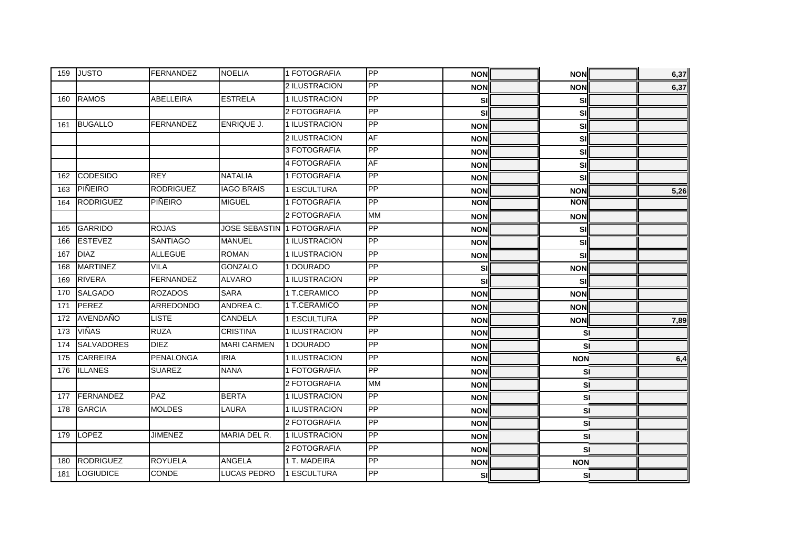| 159 | <b>JUSTO</b>      | FERNANDEZ        | <b>NOELIA</b>                     | 1 FOTOGRAFIA  | <b>PP</b>  | <b>NON</b> | <b>NON</b> |           | 6,37 |
|-----|-------------------|------------------|-----------------------------------|---------------|------------|------------|------------|-----------|------|
|     |                   |                  |                                   | 2 ILUSTRACION | PP         | <b>NON</b> | <b>NON</b> |           | 6,37 |
| 160 | <b>RAMOS</b>      | ABELLEIRA        | <b>ESTRELA</b>                    | 1 ILUSTRACION | <b>PP</b>  | SI         |            | SI        |      |
|     |                   |                  |                                   | 2 FOTOGRAFIA  | PP         | SI         |            | SI        |      |
| 161 | <b>BUGALLO</b>    | <b>FERNANDEZ</b> | ENRIQUE J.                        | 1 ILUSTRACION | PP         | <b>NON</b> |            | <b>SI</b> |      |
|     |                   |                  |                                   | 2 ILUSTRACION | <b>AF</b>  | <b>NON</b> |            | SI        |      |
|     |                   |                  |                                   | 3 FOTOGRAFIA  | <b>PP</b>  | <b>NON</b> |            | <b>SI</b> |      |
|     |                   |                  |                                   | 4 FOTOGRAFIA  | <b>AF</b>  | <b>NON</b> |            | SI        |      |
| 162 | <b>CODESIDO</b>   | <b>REY</b>       | <b>NATALIA</b>                    | 1 FOTOGRAFIA  | PP         | <b>NON</b> |            | SI        |      |
| 163 | PIÑEIRO           | <b>RODRIGUEZ</b> | <b>IAGO BRAIS</b>                 | 1 ESCULTURA   | PP         | <b>NON</b> | <b>NON</b> |           | 5,26 |
| 164 | <b>RODRIGUEZ</b>  | PIÑEIRO          | <b>MIGUEL</b>                     | 1 FOTOGRAFIA  | PP         | <b>NON</b> | <b>NON</b> |           |      |
|     |                   |                  |                                   | 2 FOTOGRAFIA  | <b>MM</b>  | <b>NON</b> | <b>NON</b> |           |      |
| 165 | <b>GARRIDO</b>    | <b>ROJAS</b>     | <b>JOSE SEBASTIN 1 FOTOGRAFIA</b> |               | PP         | <b>NON</b> |            | SI        |      |
| 166 | <b>ESTEVEZ</b>    | SANTIAGO         | <b>MANUEL</b>                     | 1 ILUSTRACION | PP         | <b>NON</b> |            | SI        |      |
| 167 | <b>DIAZ</b>       | <b>ALLEGUE</b>   | <b>ROMAN</b>                      | 1 ILUSTRACION | PP         | <b>NON</b> |            | SI        |      |
| 168 | <b>MARTINEZ</b>   | <b>VILA</b>      | <b>GONZALO</b>                    | 1 DOURADO     | PP         | SI         | <b>NON</b> |           |      |
| 169 | <b>RIVERA</b>     | <b>FERNANDEZ</b> | <b>ALVARO</b>                     | 1 ILUSTRACION | PP         | SI         |            | SI        |      |
| 170 | <b>SALGADO</b>    | <b>ROZADOS</b>   | <b>SARA</b>                       | 1 T.CERAMICO  | PP         | <b>NON</b> | <b>NON</b> |           |      |
| 171 | PEREZ             | ARREDONDO        | ANDREA C.                         | 1 T.CERAMICO  | PP         | <b>NON</b> | <b>NON</b> |           |      |
| 172 | AVENDAÑO          | <b>LISTE</b>     | <b>CANDELA</b>                    | 1 ESCULTURA   | PP         | <b>NON</b> | <b>NON</b> |           | 7,89 |
| 173 | <b>VIÑAS</b>      | <b>RUZA</b>      | <b>CRISTINA</b>                   | 1 ILUSTRACION | PP         | <b>NON</b> |            | <b>SI</b> |      |
| 174 | <b>SALVADORES</b> | <b>DIEZ</b>      | <b>MARI CARMEN</b>                | 1 DOURADO     | PP         | <b>NON</b> |            | SI        |      |
| 175 | <b>CARREIRA</b>   | <b>PENALONGA</b> | <b>IRIA</b>                       | 1 ILUSTRACION | PP         | <b>NON</b> | <b>NON</b> |           | 6,4  |
| 176 | <b>ILLANES</b>    | <b>SUAREZ</b>    | <b>NANA</b>                       | 1 FOTOGRAFIA  | <b>PP</b>  | <b>NON</b> |            | <b>SI</b> |      |
|     |                   |                  |                                   | 2 FOTOGRAFIA  | <b>MM</b>  | <b>NON</b> |            | <b>SI</b> |      |
| 177 | FERNANDEZ         | <b>PAZ</b>       | <b>BERTA</b>                      | 1 ILUSTRACION | <b>PP</b>  | <b>NON</b> |            | SI        |      |
| 178 | <b>GARCIA</b>     | <b>MOLDES</b>    | <b>LAURA</b>                      | 1 ILUSTRACION | PP         | <b>NON</b> |            | SI        |      |
|     |                   |                  |                                   | 2 FOTOGRAFIA  | <b>IPP</b> | <b>NON</b> |            | SI        |      |
| 179 | LOPEZ             | <b>JIMENEZ</b>   | MARIA DEL R.                      | 1 ILUSTRACION | PP         | <b>NON</b> |            | SI        |      |
|     |                   |                  |                                   | 2 FOTOGRAFIA  | PP         | <b>NON</b> |            | SI        |      |
| 180 | RODRIGUEZ         | <b>ROYUELA</b>   | ANGELA                            | 1 T. MADEIRA  | PP         | <b>NON</b> | <b>NON</b> |           |      |
| 181 | LOGIUDICE         | CONDE            | <b>LUCAS PEDRO</b>                | 1 ESCULTURA   | PP         | SI         |            | <b>SI</b> |      |